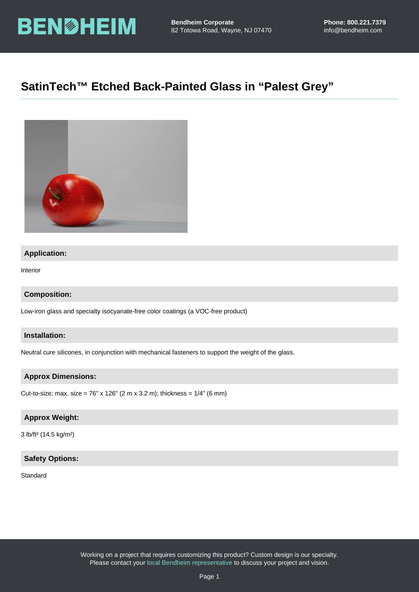# SatinTech™ Etched Back-Painted Glass in "Palest Grey"

## Application:

Interior

Composition:

Low-iron glass and specialty isocyanate-free color coatings (a VOC-free product)

Installation:

Neutral cure silicones, in conjunction with mechanical fasteners to support the weight of the glass.

Approx Dimensions:

Cut-to-size; max. size = 76" x 126" (2 m x 3.2 m); thickness = 1/4" (6 mm)

## Approx Weight:

3 lb/ft² (14.5 kg/m²)

## Safety Options:

#### **Standard**

Working on a project that requires customizing this product? Custom design is our specialty. Please contact your [local Bendheim representative](https://bendheim.com/professional/find-a-rep/) to discuss your project and vision.